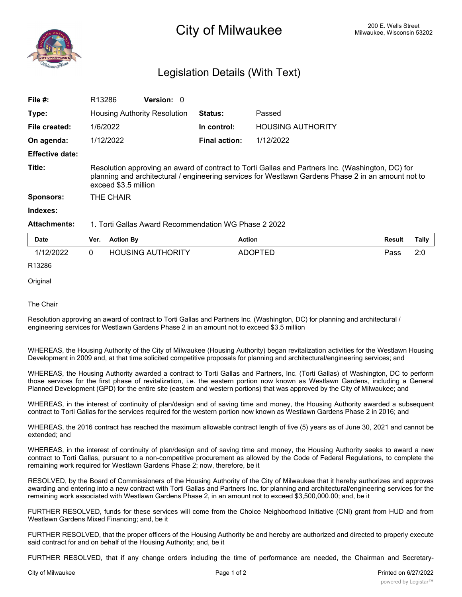

## Legislation Details (With Text)

| File $#$ :             | R <sub>13286</sub>                                                                                                                                                                                                             | <b>Version: 0</b> |                      |                          |  |  |  |
|------------------------|--------------------------------------------------------------------------------------------------------------------------------------------------------------------------------------------------------------------------------|-------------------|----------------------|--------------------------|--|--|--|
| Type:                  | <b>Housing Authority Resolution</b>                                                                                                                                                                                            |                   | <b>Status:</b>       | Passed                   |  |  |  |
| File created:          | 1/6/2022                                                                                                                                                                                                                       |                   | In control:          | <b>HOUSING AUTHORITY</b> |  |  |  |
| On agenda:             | 1/12/2022                                                                                                                                                                                                                      |                   | <b>Final action:</b> | 1/12/2022                |  |  |  |
| <b>Effective date:</b> |                                                                                                                                                                                                                                |                   |                      |                          |  |  |  |
| Title:                 | Resolution approving an award of contract to Torti Gallas and Partners Inc. (Washington, DC) for<br>planning and architectural / engineering services for Westlawn Gardens Phase 2 in an amount not to<br>exceed \$3.5 million |                   |                      |                          |  |  |  |
| <b>Sponsors:</b>       | THE CHAIR                                                                                                                                                                                                                      |                   |                      |                          |  |  |  |
| Indexes:               |                                                                                                                                                                                                                                |                   |                      |                          |  |  |  |
| <b>Attachments:</b>    | 1. Torti Gallas Award Recommendation WG Phase 2 2022                                                                                                                                                                           |                   |                      |                          |  |  |  |

| <b>Date</b> | Ver. | <b>Action By</b>         | <b>Action</b>  | <b>Result</b> | <b>Tally</b> |
|-------------|------|--------------------------|----------------|---------------|--------------|
| 1/12/2022   |      | <b>HOUSING AUTHORITY</b> | <b>ADOPTED</b> | Pass          | 2:0          |
| R13286      |      |                          |                |               |              |

**Original** 

The Chair

Resolution approving an award of contract to Torti Gallas and Partners Inc. (Washington, DC) for planning and architectural / engineering services for Westlawn Gardens Phase 2 in an amount not to exceed \$3.5 million

WHEREAS, the Housing Authority of the City of Milwaukee (Housing Authority) began revitalization activities for the Westlawn Housing Development in 2009 and, at that time solicited competitive proposals for planning and architectural/engineering services; and

WHEREAS, the Housing Authority awarded a contract to Torti Gallas and Partners, Inc. (Torti Gallas) of Washington, DC to perform those services for the first phase of revitalization, i.e. the eastern portion now known as Westlawn Gardens, including a General Planned Development (GPD) for the entire site (eastern and western portions) that was approved by the City of Milwaukee; and

WHEREAS, in the interest of continuity of plan/design and of saving time and money, the Housing Authority awarded a subsequent contract to Torti Gallas for the services required for the western portion now known as Westlawn Gardens Phase 2 in 2016; and

WHEREAS, the 2016 contract has reached the maximum allowable contract length of five (5) years as of June 30, 2021 and cannot be extended; and

WHEREAS, in the interest of continuity of plan/design and of saving time and money, the Housing Authority seeks to award a new contract to Torti Gallas, pursuant to a non-competitive procurement as allowed by the Code of Federal Regulations, to complete the remaining work required for Westlawn Gardens Phase 2; now, therefore, be it

RESOLVED, by the Board of Commissioners of the Housing Authority of the City of Milwaukee that it hereby authorizes and approves awarding and entering into a new contract with Torti Gallas and Partners Inc. for planning and architectural/engineering services for the remaining work associated with Westlawn Gardens Phase 2, in an amount not to exceed \$3,500,000.00; and, be it

FURTHER RESOLVED, funds for these services will come from the Choice Neighborhood Initiative (CNI) grant from HUD and from Westlawn Gardens Mixed Financing; and, be it

FURTHER RESOLVED, that the proper officers of the Housing Authority be and hereby are authorized and directed to properly execute said contract for and on behalf of the Housing Authority; and, be it

FURTHER RESOLVED, that if any change orders including the time of performance are needed, the Chairman and Secretary-